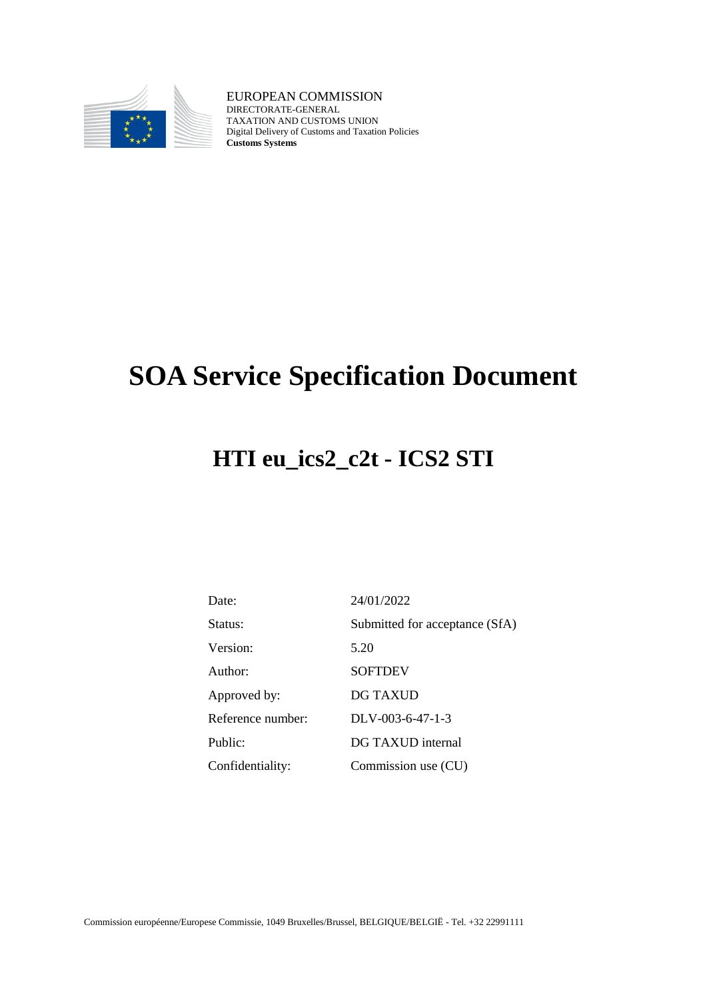

EUROPEAN COMMISSION DIRECTORATE-GENERAL TAXATION AND CUSTOMS UNION Digital Delivery of Customs and Taxation Policies **Customs Systems**

# **SOA Service Specification Document**

# **HTI eu\_ics2\_c2t - ICS2 STI**

| Date:             | 24/01/2022                     |
|-------------------|--------------------------------|
| Status:           | Submitted for acceptance (SfA) |
| Version:          | 5.20                           |
| Author:           | <b>SOFTDEV</b>                 |
| Approved by:      | DG TAXUD                       |
| Reference number: | $DLV-003-6-47-1-3$             |
| Public:           | DG TAXUD internal              |
| Confidentiality:  | Commission use (CU)            |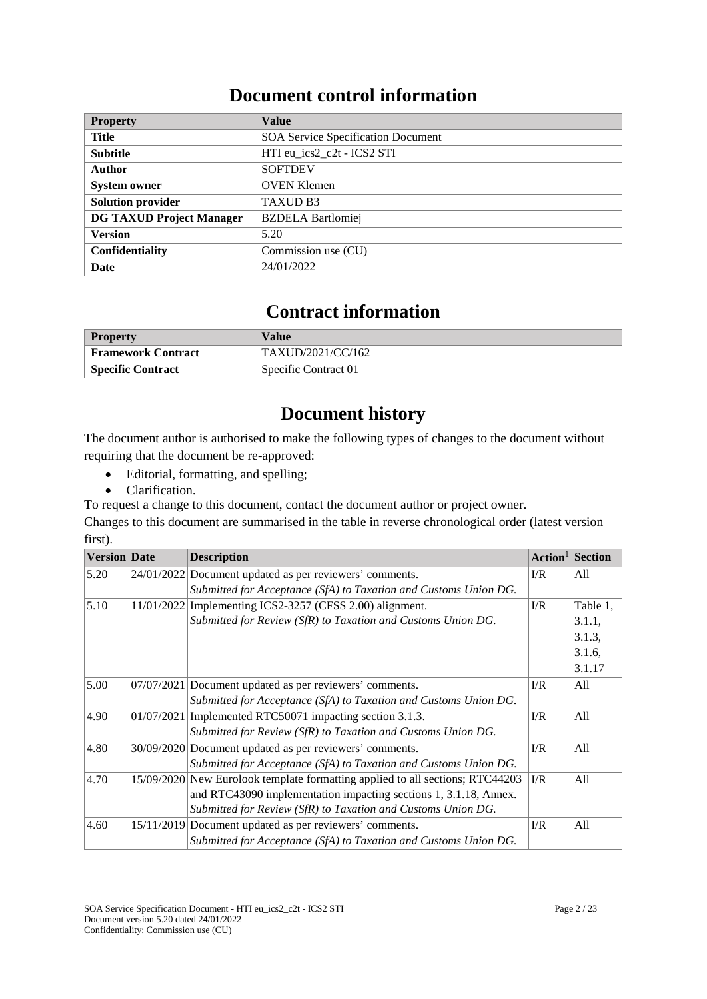## **Document control information**

| <b>Property</b>                 | <b>Value</b>                              |
|---------------------------------|-------------------------------------------|
| Title                           | <b>SOA Service Specification Document</b> |
| <b>Subtitle</b>                 | HTI eu ics2 c2t - ICS2 STI                |
| Author                          | <b>SOFTDEV</b>                            |
| <b>System owner</b>             | <b>OVEN Klemen</b>                        |
| <b>Solution provider</b>        | <b>TAXUD B3</b>                           |
| <b>DG TAXUD Project Manager</b> | <b>BZDELA</b> Bartlomiej                  |
| <b>Version</b>                  | 5.20                                      |
| <b>Confidentiality</b>          | Commission use (CU)                       |
| Date                            | 24/01/2022                                |

## **Contract information**

| <b>Property</b>          | Value                |
|--------------------------|----------------------|
| Framework Contract       | TAXUD/2021/CC/162    |
| <b>Specific Contract</b> | Specific Contract 01 |

## **Document history**

The document author is authorised to make the following types of changes to the document without requiring that the document be re-approved:

- Editorial, formatting, and spelling;
- Clarification.

To request a change to this document, contact the document author or project owner.

Changes to this document are summarised in the table in reverse chronological order (latest version first).

| <b>Version</b> Date |            | <b>Description</b>                                                            | Action <sup>1</sup> | Section  |
|---------------------|------------|-------------------------------------------------------------------------------|---------------------|----------|
| 5.20                |            | 24/01/2022 Document updated as per reviewers' comments.                       | $\Gamma/R$          | All      |
|                     |            | Submitted for Acceptance (SfA) to Taxation and Customs Union DG.              |                     |          |
| 5.10                |            | 11/01/2022 Implementing ICS2-3257 (CFSS 2.00) alignment.                      | I/R                 | Table 1, |
|                     |            | Submitted for Review (SfR) to Taxation and Customs Union DG.                  |                     | 3.1.1,   |
|                     |            |                                                                               |                     | 3.1.3,   |
|                     |            |                                                                               |                     | 3.1.6,   |
|                     |            |                                                                               |                     | 3.1.17   |
| 5.00                |            | 07/07/2021 Document updated as per reviewers' comments.                       | I/R                 | A11      |
|                     |            | Submitted for Acceptance (SfA) to Taxation and Customs Union DG.              |                     |          |
| 4.90                | 01/07/2021 | Implemented RTC50071 impacting section 3.1.3.                                 | $\Gamma$            | All      |
|                     |            | Submitted for Review (SfR) to Taxation and Customs Union DG.                  |                     |          |
| 4.80                |            | 30/09/2020 Document updated as per reviewers' comments.                       | $\Gamma/R$          | All      |
|                     |            | Submitted for Acceptance (SfA) to Taxation and Customs Union DG.              |                     |          |
| 4.70                |            | 15/09/2020 New Eurolook template formatting applied to all sections; RTC44203 | $\Gamma/R$          | All      |
|                     |            | and RTC43090 implementation impacting sections 1, 3.1.18, Annex.              |                     |          |
|                     |            | Submitted for Review (SfR) to Taxation and Customs Union DG.                  |                     |          |
| 4.60                |            | 15/11/2019 Document updated as per reviewers' comments.                       | $\Gamma/R$          | A11      |
|                     |            | Submitted for Acceptance (SfA) to Taxation and Customs Union DG.              |                     |          |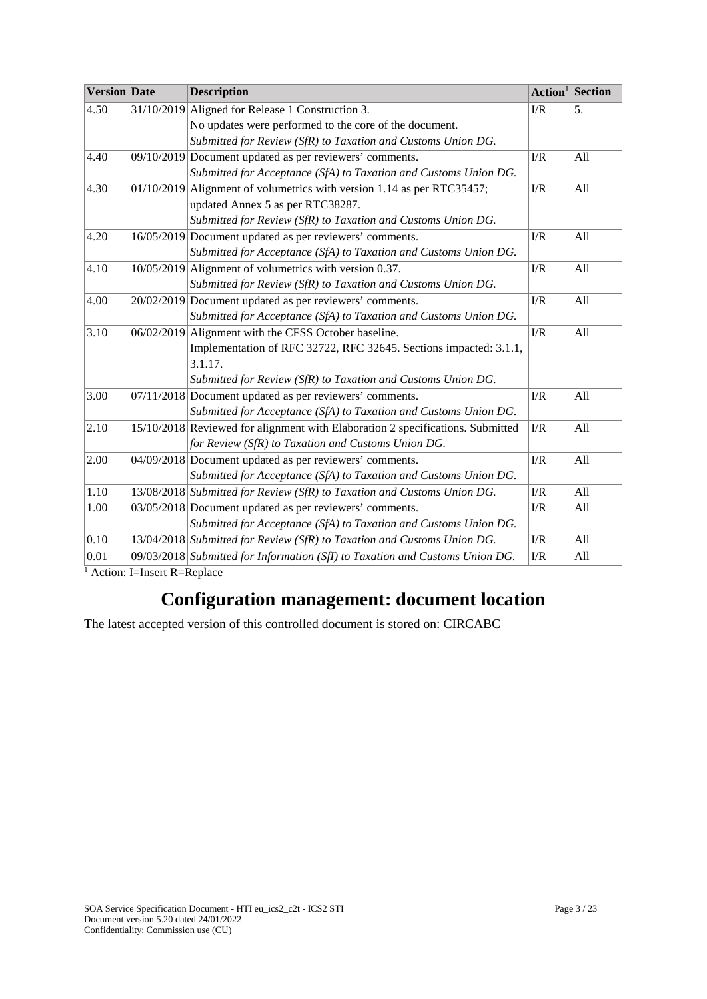| <b>Version</b> Date | <b>Description</b>                                                             | Action <sup>1</sup> | Section |
|---------------------|--------------------------------------------------------------------------------|---------------------|---------|
| 4.50                | 31/10/2019 Aligned for Release 1 Construction 3.                               | I/R                 | 5.      |
|                     | No updates were performed to the core of the document.                         |                     |         |
|                     | Submitted for Review (SfR) to Taxation and Customs Union DG.                   |                     |         |
| 4.40                | 09/10/2019 Document updated as per reviewers' comments.                        | I/R                 | All     |
|                     | Submitted for Acceptance (SfA) to Taxation and Customs Union DG.               |                     |         |
| 4.30                | $01/10/2019$ Alignment of volumetrics with version 1.14 as per RTC35457;       | I/R                 | All     |
|                     | updated Annex 5 as per RTC38287.                                               |                     |         |
|                     | Submitted for Review (SfR) to Taxation and Customs Union DG.                   |                     |         |
| 4.20                | 16/05/2019 Document updated as per reviewers' comments.                        | I/R                 | All     |
|                     | Submitted for Acceptance (SfA) to Taxation and Customs Union DG.               |                     |         |
| 4.10                | 10/05/2019 Alignment of volumetrics with version 0.37.                         | I/R                 | All     |
|                     | Submitted for Review (SfR) to Taxation and Customs Union DG.                   |                     |         |
| 4.00                | 20/02/2019 Document updated as per reviewers' comments.                        | I/R                 | All     |
|                     | Submitted for Acceptance (SfA) to Taxation and Customs Union DG.               |                     |         |
| 3.10                | 06/02/2019 Alignment with the CFSS October baseline.                           | I/R                 | All     |
|                     | Implementation of RFC 32722, RFC 32645. Sections impacted: 3.1.1,              |                     |         |
|                     | 3.1.17.                                                                        |                     |         |
|                     | Submitted for Review (SfR) to Taxation and Customs Union DG.                   |                     |         |
| 3.00                | 07/11/2018 Document updated as per reviewers' comments.                        | I/R                 | All     |
|                     | Submitted for Acceptance (SfA) to Taxation and Customs Union DG.               |                     |         |
| 2.10                | 15/10/2018 Reviewed for alignment with Elaboration 2 specifications. Submitted | I/R                 | All     |
|                     | for Review (SfR) to Taxation and Customs Union DG.                             |                     |         |
| 2.00                | 04/09/2018 Document updated as per reviewers' comments.                        | $\rm I/R$           | All     |
|                     | Submitted for Acceptance (SfA) to Taxation and Customs Union DG.               |                     |         |
| 1.10                | 13/08/2018 Submitted for Review (SfR) to Taxation and Customs Union DG.        | I/R                 | All     |
| 1.00                | 03/05/2018 Document updated as per reviewers' comments.                        | I/R                 | All     |
|                     | Submitted for Acceptance (SfA) to Taxation and Customs Union DG.               |                     |         |
| 0.10                | 13/04/2018 Submitted for Review (SfR) to Taxation and Customs Union DG.        | $\rm I/R$           | All     |
| 0.01                | 09/03/2018 Submitted for Information (SfI) to Taxation and Customs Union DG.   | $\rm I/R$           | All     |

 $\frac{1}{1}$  Action: I=Insert R=Replace

## **Configuration management: document location**

The latest accepted version of this controlled document is stored on: CIRCABC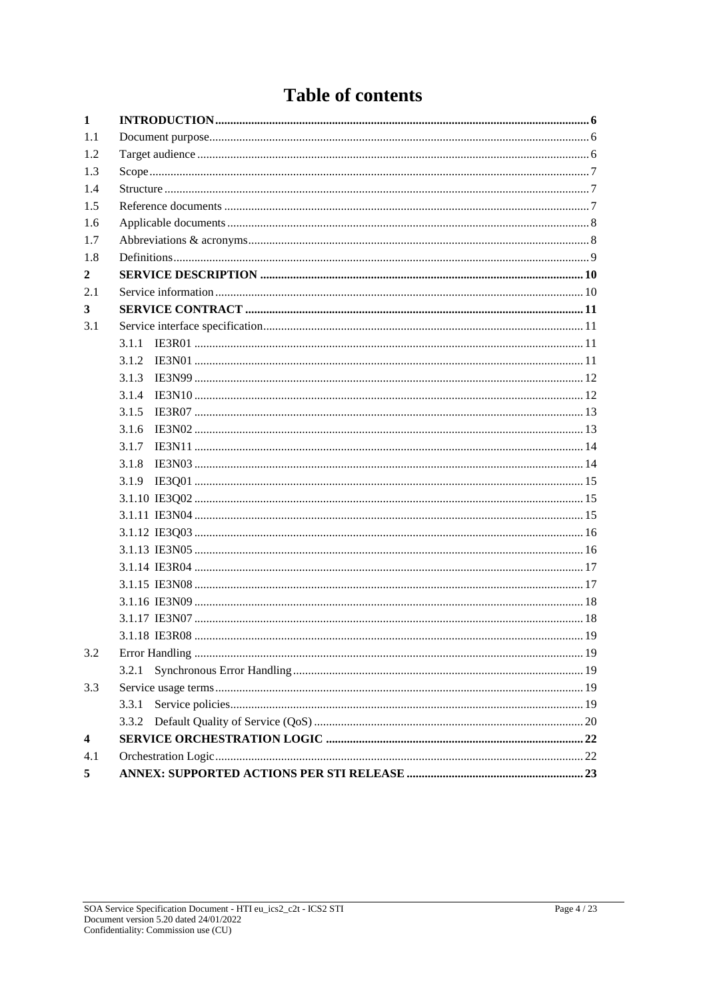## **Table of contents**

| $\mathbf{1}$            |       |  |
|-------------------------|-------|--|
| 1.1                     |       |  |
| 1.2                     |       |  |
| 1.3                     |       |  |
| 1.4                     |       |  |
| 1.5                     |       |  |
| 1.6                     |       |  |
| 1.7                     |       |  |
| 1.8                     |       |  |
| $\mathbf{2}$            |       |  |
| 2.1                     |       |  |
| $\mathbf{3}$            |       |  |
| 3.1                     |       |  |
|                         | 3.1.1 |  |
|                         | 3.1.2 |  |
|                         | 3.1.3 |  |
|                         | 3.1.4 |  |
|                         | 3.1.5 |  |
|                         | 3.1.6 |  |
|                         | 3.1.7 |  |
|                         | 3.1.8 |  |
|                         |       |  |
|                         |       |  |
|                         |       |  |
|                         |       |  |
|                         |       |  |
|                         |       |  |
|                         |       |  |
|                         |       |  |
|                         |       |  |
|                         |       |  |
| 3.2                     |       |  |
|                         | 3.2.1 |  |
| 3.3                     |       |  |
|                         | 3.3.1 |  |
|                         | 3.3.2 |  |
| $\overline{\mathbf{4}}$ |       |  |
| 4.1                     |       |  |
| 5 <sup>5</sup>          |       |  |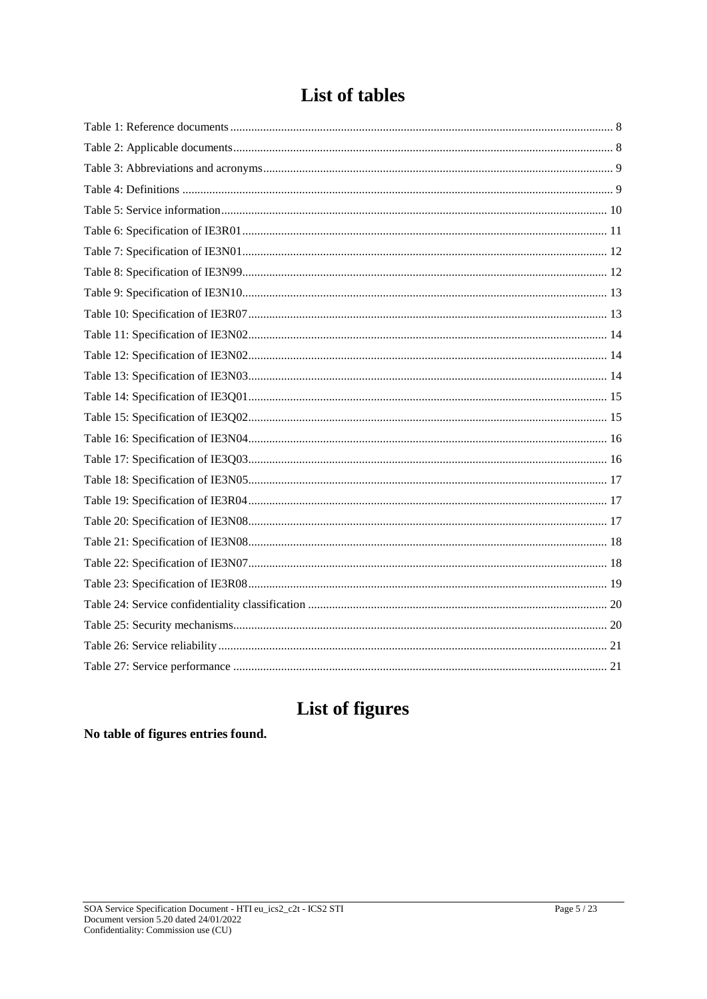## **List of tables**

## List of figures

### No table of figures entries found.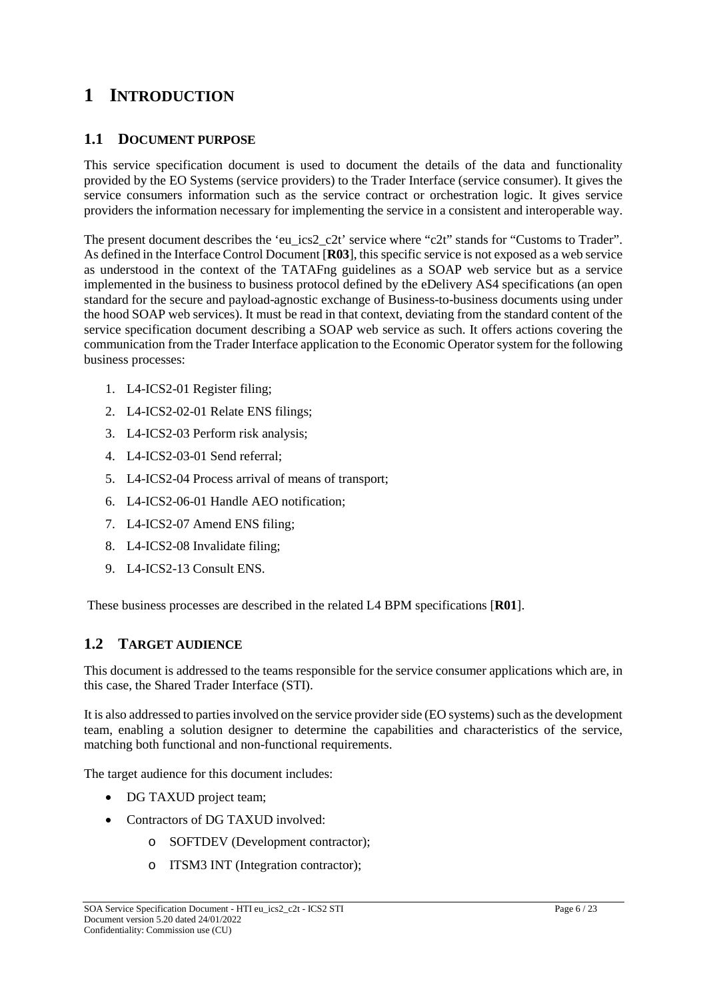## **1 INTRODUCTION**

#### **1.1 DOCUMENT PURPOSE**

This service specification document is used to document the details of the data and functionality provided by the EO Systems (service providers) to the Trader Interface (service consumer). It gives the service consumers information such as the service contract or orchestration logic. It gives service providers the information necessary for implementing the service in a consistent and interoperable way.

The present document describes the 'eu\_ics2\_c2t' service where "c2t" stands for "Customs to Trader". As defined in the Interface Control Document [**R03**], this specific service is not exposed as a web service as understood in the context of the TATAFng guidelines as a SOAP web service but as a service implemented in the business to business protocol defined by the eDelivery AS4 specifications (an open standard for the secure and payload-agnostic exchange of Business-to-business documents using under the hood SOAP web services). It must be read in that context, deviating from the standard content of the service specification document describing a SOAP web service as such. It offers actions covering the communication from the Trader Interface application to the Economic Operator system for the following business processes:

- 1. L4-ICS2-01 Register filing;
- 2. L4-ICS2-02-01 Relate ENS filings;
- 3. L4-ICS2-03 Perform risk analysis;
- 4. L4-ICS2-03-01 Send referral;
- 5. L4-ICS2-04 Process arrival of means of transport;
- 6. L4-ICS2-06-01 Handle AEO notification;
- 7. L4-ICS2-07 Amend ENS filing;
- 8. L4-ICS2-08 Invalidate filing;
- 9. L4-ICS2-13 Consult ENS.

These business processes are described in the related L4 BPM specifications [**R01**].

#### **1.2 TARGET AUDIENCE**

This document is addressed to the teams responsible for the service consumer applications which are, in this case, the Shared Trader Interface (STI).

It is also addressed to parties involved on the service provider side (EO systems) such as the development team, enabling a solution designer to determine the capabilities and characteristics of the service, matching both functional and non-functional requirements.

The target audience for this document includes:

- DG TAXUD project team;
- Contractors of DG TAXUD involved:
	- o SOFTDEV (Development contractor);
	- o ITSM3 INT (Integration contractor);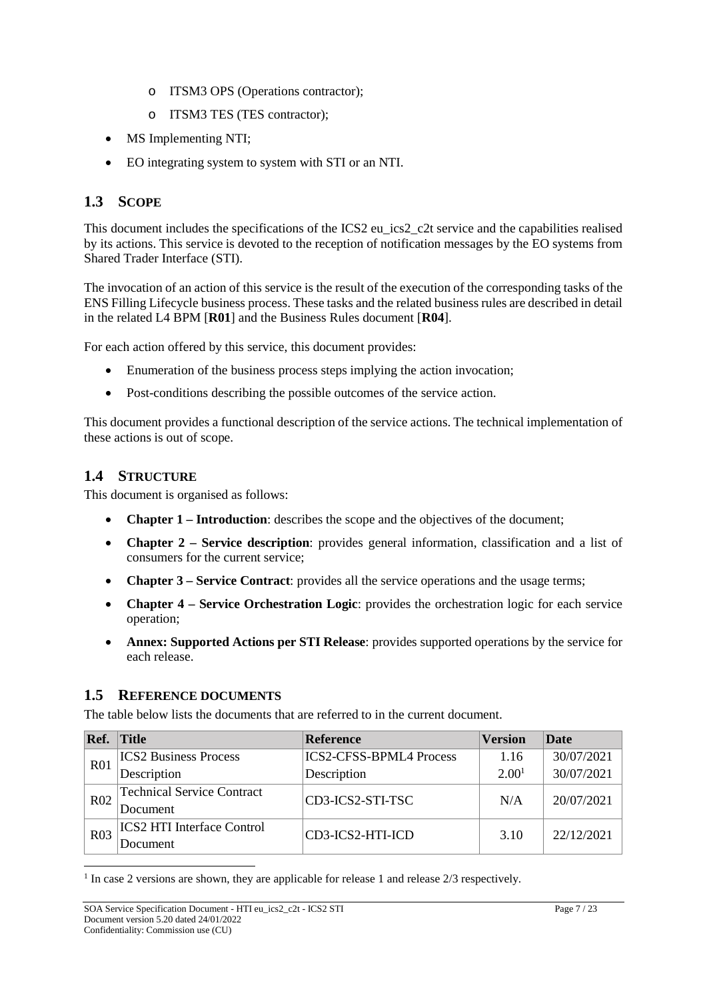- o ITSM3 OPS (Operations contractor);
- o ITSM3 TES (TES contractor);
- MS Implementing NTI;
- EO integrating system to system with STI or an NTI.

## **1.3 SCOPE**

This document includes the specifications of the ICS2 eu ics2 c2t service and the capabilities realised by its actions. This service is devoted to the reception of notification messages by the EO systems from Shared Trader Interface (STI).

The invocation of an action of this service is the result of the execution of the corresponding tasks of the ENS Filling Lifecycle business process. These tasks and the related business rules are described in detail in the related L4 BPM [**R01**] and the Business Rules document [**R04**].

For each action offered by this service, this document provides:

- Enumeration of the business process steps implying the action invocation;
- Post-conditions describing the possible outcomes of the service action.

This document provides a functional description of the service actions. The technical implementation of these actions is out of scope.

### **1.4 STRUCTURE**

This document is organised as follows:

- **Chapter 1 – Introduction**: describes the scope and the objectives of the document;
- **Chapter 2 – Service description**: provides general information, classification and a list of consumers for the current service;
- **Chapter 3 – Service Contract**: provides all the service operations and the usage terms;
- **Chapter 4 – Service Orchestration Logic**: provides the orchestration logic for each service operation;
- **Annex: Supported Actions per STI Release**: provides supported operations by the service for each release.

#### **1.5 REFERENCE DOCUMENTS**

The table below lists the documents that are referred to in the current document.

| Ref.            | <b>Title</b>                      | <b>Reference</b>               | <b>Version</b>    | <b>Date</b> |
|-----------------|-----------------------------------|--------------------------------|-------------------|-------------|
| R <sub>01</sub> | <b>ICS2</b> Business Process      | <b>ICS2-CFSS-BPML4 Process</b> | 1.16              | 30/07/2021  |
|                 | Description                       | Description                    | 2.00 <sup>1</sup> | 30/07/2021  |
| R <sub>02</sub> | <b>Technical Service Contract</b> | CD3-ICS2-STI-TSC               | N/A               | 20/07/2021  |
|                 | Document                          |                                |                   |             |
| R <sub>03</sub> | <b>ICS2 HTI Interface Control</b> | CD3-ICS2-HTI-ICD               | 3.10              | 22/12/2021  |
|                 | Document                          |                                |                   |             |

<sup>1</sup> In case 2 versions are shown, they are applicable for release 1 and release 2/3 respectively.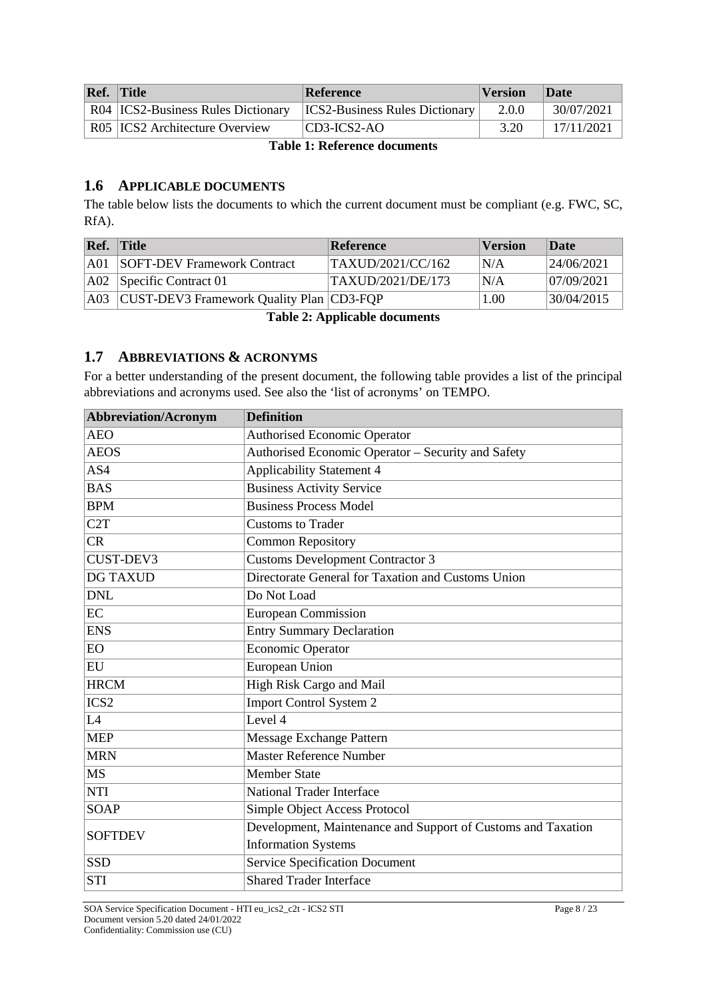| Ref. | $ $ Title                          | Reference                             | <b>Version</b> | <b>Date</b> |
|------|------------------------------------|---------------------------------------|----------------|-------------|
|      | R04 ICS2-Business Rules Dictionary | <b>ICS2-Business Rules Dictionary</b> | 2.0.0          | 30/07/2021  |
|      | R05   ICS2 Architecture Overview   | $ CD3-ICS2-AO$                        | 3.20           | 17/11/2021  |

**Table 1: Reference documents**

#### **1.6 APPLICABLE DOCUMENTS**

The table below lists the documents to which the current document must be compliant (e.g. FWC, SC, RfA).

| Ref. | $ $ Title                                        | Reference                | <b>Version</b> | Date        |
|------|--------------------------------------------------|--------------------------|----------------|-------------|
|      | <b>A01 SOFT-DEV Framework Contract</b>           | TAXUD/2021/CC/162        | N/A            | 24/06/2021  |
|      | $ A02 $ Specific Contract 01                     | <b>TAXUD/2021/DE/173</b> | N/A            | 107/09/2021 |
|      | A03   CUST-DEV3 Framework Quality Plan   CD3-FQP |                          | 1.00           | 30/04/2015  |

**Table 2: Applicable documents**

#### **1.7 ABBREVIATIONS & ACRONYMS**

For a better understanding of the present document, the following table provides a list of the principal abbreviations and acronyms used. See also the 'list of acronyms' on TEMPO.

| <b>Abbreviation/Acronym</b> | <b>Definition</b>                                            |
|-----------------------------|--------------------------------------------------------------|
| <b>AEO</b>                  | <b>Authorised Economic Operator</b>                          |
| <b>AEOS</b>                 | Authorised Economic Operator - Security and Safety           |
| AS4                         | Applicability Statement 4                                    |
| <b>BAS</b>                  | <b>Business Activity Service</b>                             |
| <b>BPM</b>                  | <b>Business Process Model</b>                                |
| C <sub>2</sub> T            | <b>Customs to Trader</b>                                     |
| CR                          | <b>Common Repository</b>                                     |
| CUST-DEV3                   | <b>Customs Development Contractor 3</b>                      |
| <b>DG TAXUD</b>             | Directorate General for Taxation and Customs Union           |
| <b>DNL</b>                  | Do Not Load                                                  |
| $\overline{EC}$             | <b>European Commission</b>                                   |
| <b>ENS</b>                  | <b>Entry Summary Declaration</b>                             |
| EO                          | <b>Economic Operator</b>                                     |
| EU                          | <b>European Union</b>                                        |
| <b>HRCM</b>                 | High Risk Cargo and Mail                                     |
| ICS <sub>2</sub>            | <b>Import Control System 2</b>                               |
| L4                          | Level 4                                                      |
| <b>MEP</b>                  | Message Exchange Pattern                                     |
| <b>MRN</b>                  | Master Reference Number                                      |
| <b>MS</b>                   | <b>Member State</b>                                          |
| <b>NTI</b>                  | <b>National Trader Interface</b>                             |
| <b>SOAP</b>                 | Simple Object Access Protocol                                |
| <b>SOFTDEV</b>              | Development, Maintenance and Support of Customs and Taxation |
|                             | <b>Information Systems</b>                                   |
| <b>SSD</b>                  | <b>Service Specification Document</b>                        |
| <b>STI</b>                  | <b>Shared Trader Interface</b>                               |

SOA Service Specification Document - HTI eu\_ics2\_c2t - ICS2 STI Page 8 / 23 Document version 5.20 dated 24/01/2022 Confidentiality: Commission use (CU)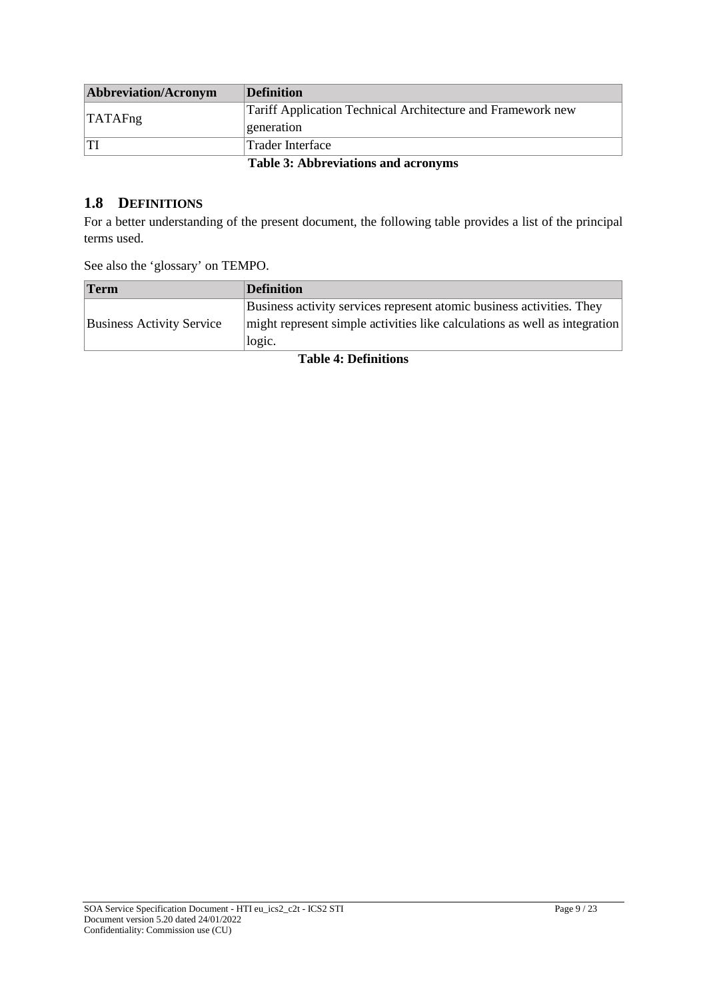| Abbreviation/Acronym | Definition                                                  |
|----------------------|-------------------------------------------------------------|
| <b>TATAFng</b>       | Tariff Application Technical Architecture and Framework new |
|                      | generation                                                  |
|                      | Trader Interface                                            |
|                      | <b>Table 3: Abbreviations and acronyms</b>                  |

#### **1.8 DEFINITIONS**

For a better understanding of the present document, the following table provides a list of the principal terms used.

|  |  |  | See also the 'glossary' on TEMPO. |  |  |
|--|--|--|-----------------------------------|--|--|
|--|--|--|-----------------------------------|--|--|

| Term                             | Definition                                                                 |
|----------------------------------|----------------------------------------------------------------------------|
|                                  | Business activity services represent atomic business activities. They      |
| <b>Business Activity Service</b> | might represent simple activities like calculations as well as integration |
|                                  | logic.                                                                     |

**Table 4: Definitions**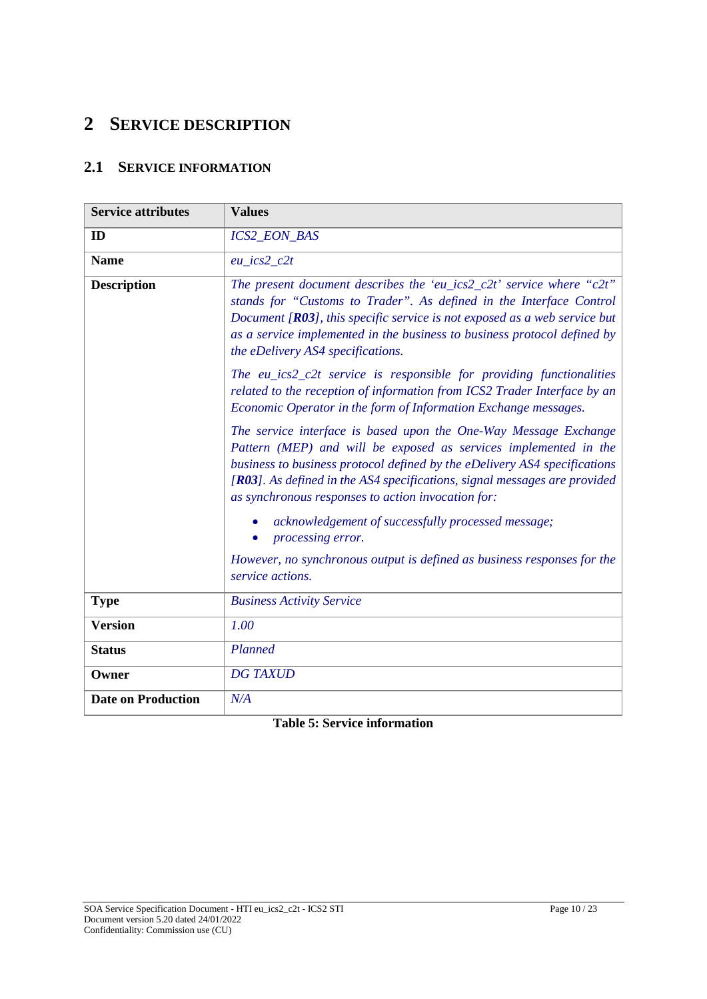## **2 SERVICE DESCRIPTION**

## **2.1 SERVICE INFORMATION**

| <b>Service attributes</b> | <b>Values</b>                                                                                                                                                                                                                                                                                                                                        |
|---------------------------|------------------------------------------------------------------------------------------------------------------------------------------------------------------------------------------------------------------------------------------------------------------------------------------------------------------------------------------------------|
| ID                        | ICS2_EON_BAS                                                                                                                                                                                                                                                                                                                                         |
| <b>Name</b>               | $eu\_ics2\_c2t$                                                                                                                                                                                                                                                                                                                                      |
| <b>Description</b>        | The present document describes the 'eu_ics2_c2t' service where "c2t"<br>stands for "Customs to Trader". As defined in the Interface Control<br>Document $[R03]$ , this specific service is not exposed as a web service but<br>as a service implemented in the business to business protocol defined by<br>the eDelivery AS4 specifications.         |
|                           | The $eu\_ics2\_c2t$ service is responsible for providing functionalities<br>related to the reception of information from ICS2 Trader Interface by an<br>Economic Operator in the form of Information Exchange messages.                                                                                                                              |
|                           | The service interface is based upon the One-Way Message Exchange<br>Pattern (MEP) and will be exposed as services implemented in the<br>business to business protocol defined by the eDelivery AS4 specifications<br>[R03]. As defined in the AS4 specifications, signal messages are provided<br>as synchronous responses to action invocation for: |
|                           | acknowledgement of successfully processed message;<br>processing error.                                                                                                                                                                                                                                                                              |
|                           | However, no synchronous output is defined as business responses for the<br>service actions.                                                                                                                                                                                                                                                          |
| <b>Type</b>               | <b>Business Activity Service</b>                                                                                                                                                                                                                                                                                                                     |
| <b>Version</b>            | 1.00                                                                                                                                                                                                                                                                                                                                                 |
| <b>Status</b>             | Planned                                                                                                                                                                                                                                                                                                                                              |
| Owner                     | <b>DG TAXUD</b>                                                                                                                                                                                                                                                                                                                                      |
| <b>Date on Production</b> | N/A                                                                                                                                                                                                                                                                                                                                                  |

**Table 5: Service information**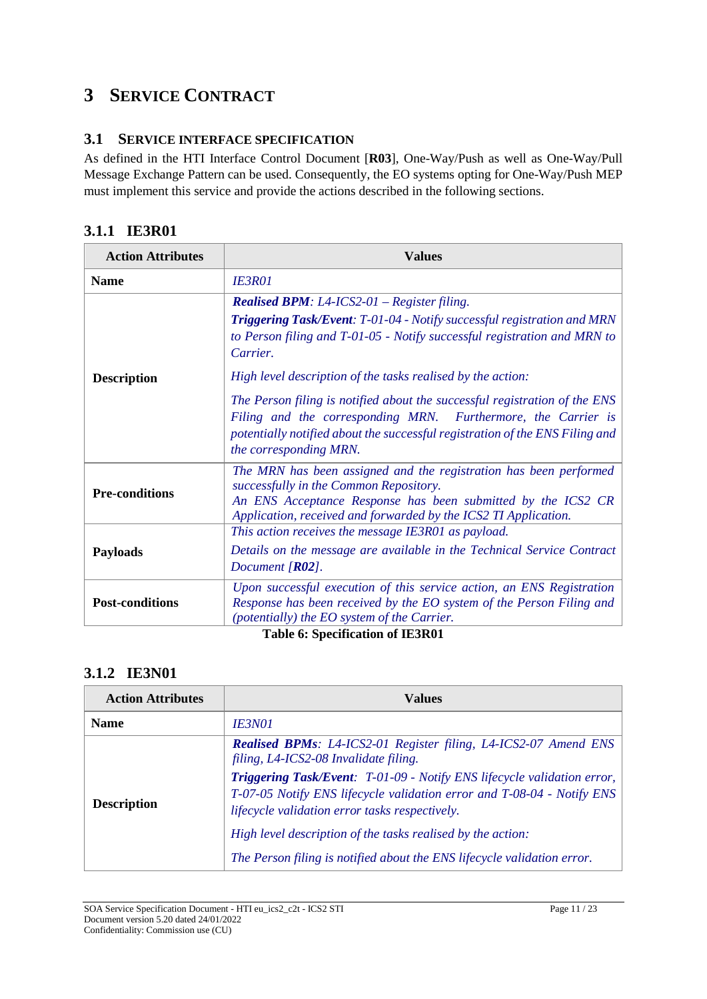## **3 SERVICE CONTRACT**

### **3.1 SERVICE INTERFACE SPECIFICATION**

As defined in the HTI Interface Control Document [**R03**], One-Way/Push as well as One-Way/Pull Message Exchange Pattern can be used. Consequently, the EO systems opting for One-Way/Push MEP must implement this service and provide the actions described in the following sections.

### **3.1.1 IE3R01**

| <b>Action Attributes</b> | <b>Values</b>                                                                                                                                                                                                                                                                                                        |  |
|--------------------------|----------------------------------------------------------------------------------------------------------------------------------------------------------------------------------------------------------------------------------------------------------------------------------------------------------------------|--|
| <b>Name</b>              | <b>IE3R01</b>                                                                                                                                                                                                                                                                                                        |  |
|                          | <b>Realised BPM:</b> L4-ICS2-01 – Register filing.<br>Triggering Task/Event: T-01-04 - Notify successful registration and MRN<br>to Person filing and T-01-05 - Notify successful registration and MRN to<br>Carrier.                                                                                                |  |
| <b>Description</b>       | High level description of the tasks realised by the action:<br>The Person filing is notified about the successful registration of the ENS<br>Filing and the corresponding MRN. Furthermore, the Carrier is<br>potentially notified about the successful registration of the ENS Filing and<br>the corresponding MRN. |  |
| <b>Pre-conditions</b>    | The MRN has been assigned and the registration has been performed<br>successfully in the Common Repository.<br>An ENS Acceptance Response has been submitted by the ICS2 CR<br>Application, received and forwarded by the ICS2 TI Application.                                                                       |  |
| <b>Payloads</b>          | This action receives the message IE3R01 as payload.<br>Details on the message are available in the Technical Service Contract<br>Document $[R02]$ .                                                                                                                                                                  |  |
| <b>Post-conditions</b>   | Upon successful execution of this service action, an ENS Registration<br>Response has been received by the EO system of the Person Filing and<br>(potentially) the EO system of the Carrier.                                                                                                                         |  |

**Table 6: Specification of IE3R01**

### **3.1.2 IE3N01**

| <b>Action Attributes</b> | Values                                                                                                                                                                                              |  |
|--------------------------|-----------------------------------------------------------------------------------------------------------------------------------------------------------------------------------------------------|--|
| <b>Name</b>              | <i><b>IE3N01</b></i>                                                                                                                                                                                |  |
|                          | <b>Realised BPMs:</b> L4-ICS2-01 Register filing, L4-ICS2-07 Amend ENS<br>filing, L4-ICS2-08 Invalidate filing.                                                                                     |  |
| <b>Description</b>       | Triggering Task/Event: T-01-09 - Notify ENS lifecycle validation error,<br>T-07-05 Notify ENS lifecycle validation error and T-08-04 - Notify ENS<br>lifecycle validation error tasks respectively. |  |
|                          | High level description of the tasks realised by the action:                                                                                                                                         |  |
|                          | The Person filing is notified about the ENS lifecycle validation error.                                                                                                                             |  |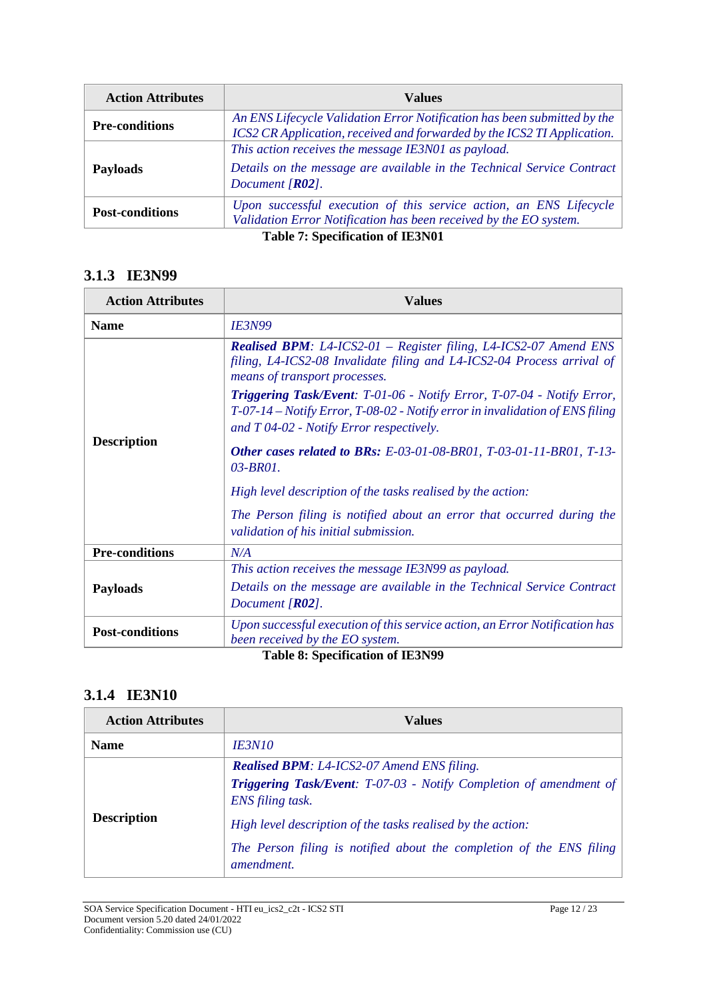| <b>Action Attributes</b> | Values                                                                                                                                              |
|--------------------------|-----------------------------------------------------------------------------------------------------------------------------------------------------|
| <b>Pre-conditions</b>    | An ENS Lifecycle Validation Error Notification has been submitted by the<br>ICS2 CR Application, received and forwarded by the ICS2 TI Application. |
| <b>Payloads</b>          | This action receives the message IE3N01 as payload.<br>Details on the message are available in the Technical Service Contract<br>Document $[R02]$ . |
| <b>Post-conditions</b>   | Upon successful execution of this service action, an ENS Lifecycle<br>Validation Error Notification has been received by the EO system.             |
|                          | <b>Table 7: Specification of IE3N01</b>                                                                                                             |

### **3.1.3 IE3N99**

| <b>Action Attributes</b> | <b>Values</b>                                                                                                                                                                                          |  |
|--------------------------|--------------------------------------------------------------------------------------------------------------------------------------------------------------------------------------------------------|--|
| <b>Name</b>              | <b>IE3N99</b>                                                                                                                                                                                          |  |
|                          | <b>Realised BPM:</b> L4-ICS2-01 – Register filing, L4-ICS2-07 Amend ENS<br>filing, LA-ICS2-08 Invalidate filing and LA-ICS2-04 Process arrival of<br>means of transport processes.                     |  |
|                          | Triggering Task/Event: T-01-06 - Notify Error, T-07-04 - Notify Error,<br>$T-07-14$ - Notify Error, T-08-02 - Notify error in invalidation of ENS filing<br>and $T 04-02$ - Notify Error respectively. |  |
| <b>Description</b>       | Other cases related to BRs: E-03-01-08-BR01, T-03-01-11-BR01, T-13-<br>03-BR01.                                                                                                                        |  |
|                          | High level description of the tasks realised by the action:                                                                                                                                            |  |
|                          | The Person filing is notified about an error that occurred during the<br>validation of his initial submission.                                                                                         |  |
| <b>Pre-conditions</b>    | N/A                                                                                                                                                                                                    |  |
|                          | This action receives the message IE3N99 as payload.                                                                                                                                                    |  |
| <b>Payloads</b>          | Details on the message are available in the Technical Service Contract<br>Document $[R02]$ .                                                                                                           |  |
| <b>Post-conditions</b>   | Upon successful execution of this service action, an Error Notification has<br>been received by the EO system.                                                                                         |  |

**Table 8: Specification of IE3N99**

### **3.1.4 IE3N10**

| <b>Action Attributes</b> | Values                                                                                        |
|--------------------------|-----------------------------------------------------------------------------------------------|
| <b>Name</b>              | <i><b>IE3N10</b></i>                                                                          |
|                          | <b>Realised BPM:</b> L4-ICS2-07 Amend ENS filing.                                             |
|                          | <b>Triggering Task/Event:</b> T-07-03 - Notify Completion of amendment of<br>ENS filing task. |
| <b>Description</b>       | High level description of the tasks realised by the action:                                   |
|                          | The Person filing is notified about the completion of the ENS filing<br><i>amendment.</i>     |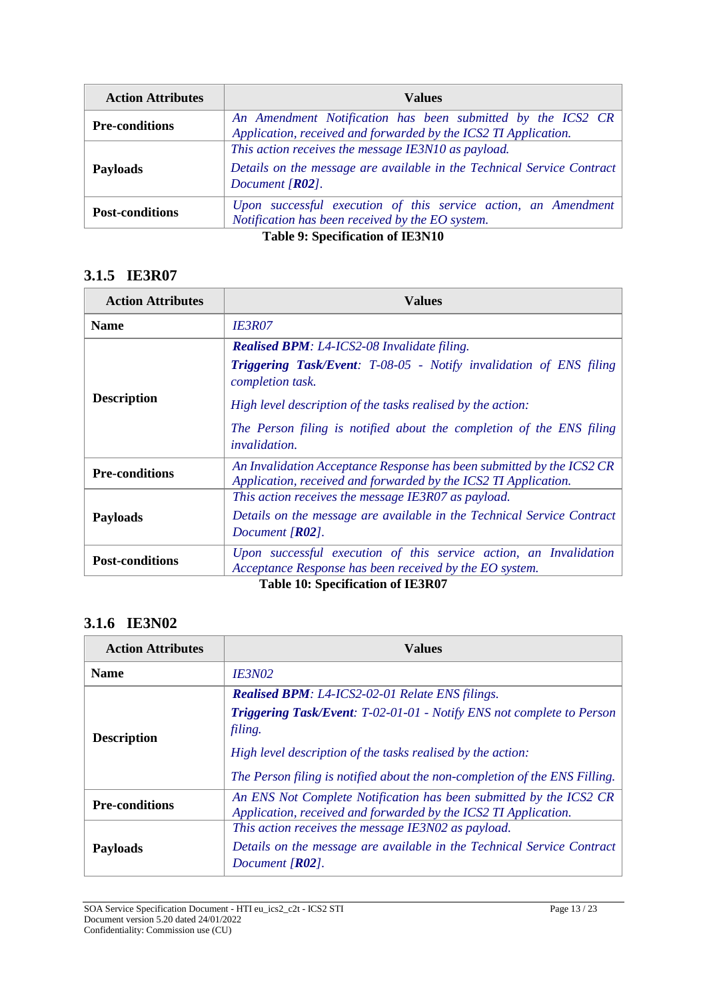| <b>Action Attributes</b> | Values                                                                                                                                              |
|--------------------------|-----------------------------------------------------------------------------------------------------------------------------------------------------|
| <b>Pre-conditions</b>    | An Amendment Notification has been submitted by the ICS2 CR<br>Application, received and forwarded by the ICS2 TI Application.                      |
| <b>Payloads</b>          | This action receives the message IE3N10 as payload.<br>Details on the message are available in the Technical Service Contract<br>Document $[R02]$ . |
| <b>Post-conditions</b>   | Upon successful execution of this service action, an Amendment<br>Notification has been received by the EO system.                                  |
|                          | <b>Table 9: Specification of IE3N10</b>                                                                                                             |

### **3.1.5 IE3R07**

| <b>Action Attributes</b> | Values                                                                                                                                   |  |
|--------------------------|------------------------------------------------------------------------------------------------------------------------------------------|--|
| <b>Name</b>              | <b>IE3R07</b>                                                                                                                            |  |
|                          | <b>Realised BPM</b> : L4-ICS2-08 Invalidate filing.                                                                                      |  |
|                          | <b>Triggering Task/Event:</b> T-08-05 - Notify invalidation of ENS filing<br>completion task.                                            |  |
| <b>Description</b>       | High level description of the tasks realised by the action:                                                                              |  |
|                          | The Person filing is notified about the completion of the ENS filing<br><i>invalidation.</i>                                             |  |
| <b>Pre-conditions</b>    | An Invalidation Acceptance Response has been submitted by the ICS2 CR<br>Application, received and forwarded by the ICS2 TI Application. |  |
|                          | This action receives the message IE3R07 as payload.                                                                                      |  |
| <b>Payloads</b>          | Details on the message are available in the Technical Service Contract<br>Document $[R02]$ .                                             |  |
| <b>Post-conditions</b>   | Upon successful execution of this service action, an Invalidation<br>Acceptance Response has been received by the EO system.             |  |
|                          | <b>Table 10: Specification of IE3R07</b>                                                                                                 |  |

## **3.1.6 IE3N02**

| <b>Action Attributes</b> | Values                                                                                                                                |  |
|--------------------------|---------------------------------------------------------------------------------------------------------------------------------------|--|
| <b>Name</b>              | <b>IE3N02</b>                                                                                                                         |  |
|                          | <b>Realised BPM:</b> L4-ICS2-02-01 Relate ENS filings.                                                                                |  |
| <b>Description</b>       | Triggering Task/Event: T-02-01-01 - Notify ENS not complete to Person<br>filing.                                                      |  |
|                          | High level description of the tasks realised by the action:                                                                           |  |
|                          | The Person filing is notified about the non-completion of the ENS Filling.                                                            |  |
| <b>Pre-conditions</b>    | An ENS Not Complete Notification has been submitted by the ICS2 CR<br>Application, received and forwarded by the ICS2 TI Application. |  |
|                          | This action receives the message IE3N02 as payload.                                                                                   |  |
| <b>Payloads</b>          | Details on the message are available in the Technical Service Contract<br>Document $[RO2]$ .                                          |  |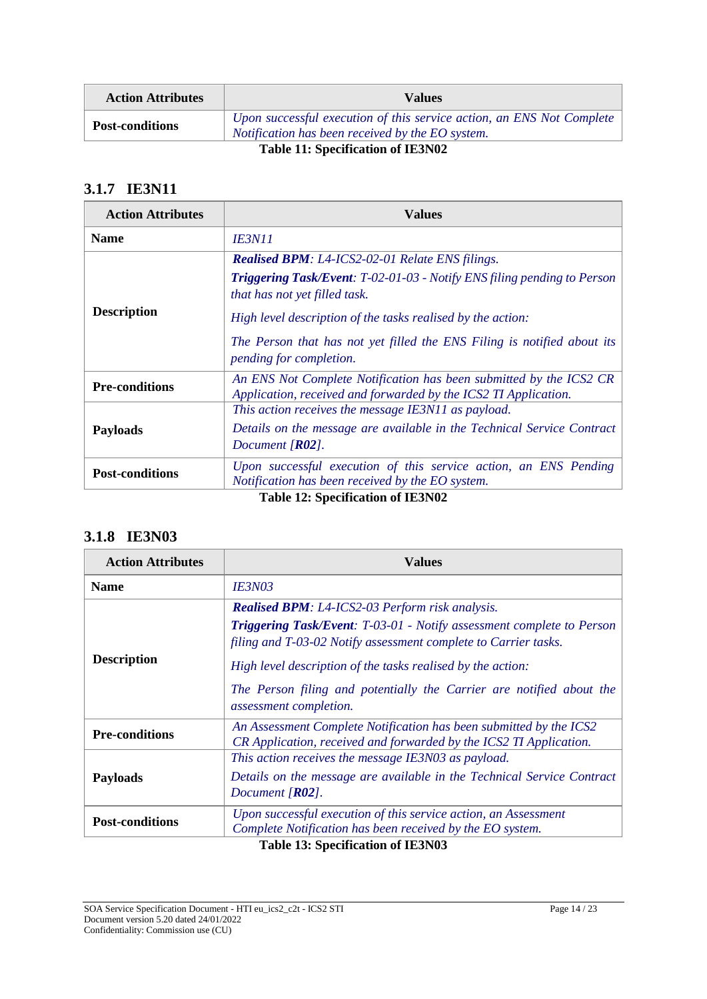| <b>Action Attributes</b> | Values                                                                                                                    |
|--------------------------|---------------------------------------------------------------------------------------------------------------------------|
| <b>Post-conditions</b>   | Upon successful execution of this service action, an ENS Not Complete<br>Notification has been received by the EO system. |

**Table 11: Specification of IE3N02**

## **3.1.7 IE3N11**

| <b>Action Attributes</b> | Values                                                                                                                                                                                                                                                                                                              |
|--------------------------|---------------------------------------------------------------------------------------------------------------------------------------------------------------------------------------------------------------------------------------------------------------------------------------------------------------------|
| <b>Name</b>              | <b>IE3N11</b>                                                                                                                                                                                                                                                                                                       |
| <b>Description</b>       | <b>Realised BPM:</b> L4-ICS2-02-01 Relate ENS filings.<br><b>Triggering Task/Event:</b> T-02-01-03 - Notify ENS filing pending to Person<br>that has not yet filled task.<br>High level description of the tasks realised by the action:<br>The Person that has not yet filled the ENS Filing is notified about its |
| <b>Pre-conditions</b>    | pending for completion.<br>An ENS Not Complete Notification has been submitted by the ICS2 CR<br>Application, received and forwarded by the ICS2 TI Application.                                                                                                                                                    |
| <b>Payloads</b>          | This action receives the message IE3N11 as payload.<br>Details on the message are available in the Technical Service Contract<br>Document $[R02]$ .                                                                                                                                                                 |
| <b>Post-conditions</b>   | Upon successful execution of this service action, an ENS Pending<br>Notification has been received by the EO system.                                                                                                                                                                                                |
|                          | Table 12: Specification of IE3N02                                                                                                                                                                                                                                                                                   |

## **3.1.8 IE3N03**

| <b>Action Attributes</b> | Values                                                                                                                                                                                                                                                                                                                                                                     |
|--------------------------|----------------------------------------------------------------------------------------------------------------------------------------------------------------------------------------------------------------------------------------------------------------------------------------------------------------------------------------------------------------------------|
| <b>Name</b>              | <i><b>IE3N03</b></i>                                                                                                                                                                                                                                                                                                                                                       |
| <b>Description</b>       | <b>Realised BPM:</b> L4-ICS2-03 Perform risk analysis.<br>Triggering Task/Event: T-03-01 - Notify assessment complete to Person<br>filing and T-03-02 Notify assessment complete to Carrier tasks.<br>High level description of the tasks realised by the action:<br>The Person filing and potentially the Carrier are notified about the<br><i>assessment completion.</i> |
| <b>Pre-conditions</b>    | An Assessment Complete Notification has been submitted by the ICS2<br>CR Application, received and forwarded by the ICS2 TI Application.                                                                                                                                                                                                                                   |
| <b>Payloads</b>          | This action receives the message IE3N03 as payload.<br>Details on the message are available in the Technical Service Contract<br>Document $[R02]$ .                                                                                                                                                                                                                        |
| <b>Post-conditions</b>   | Upon successful execution of this service action, an Assessment<br>Complete Notification has been received by the EO system.                                                                                                                                                                                                                                               |
|                          | <b>Table 13: Specification of IE3N03</b>                                                                                                                                                                                                                                                                                                                                   |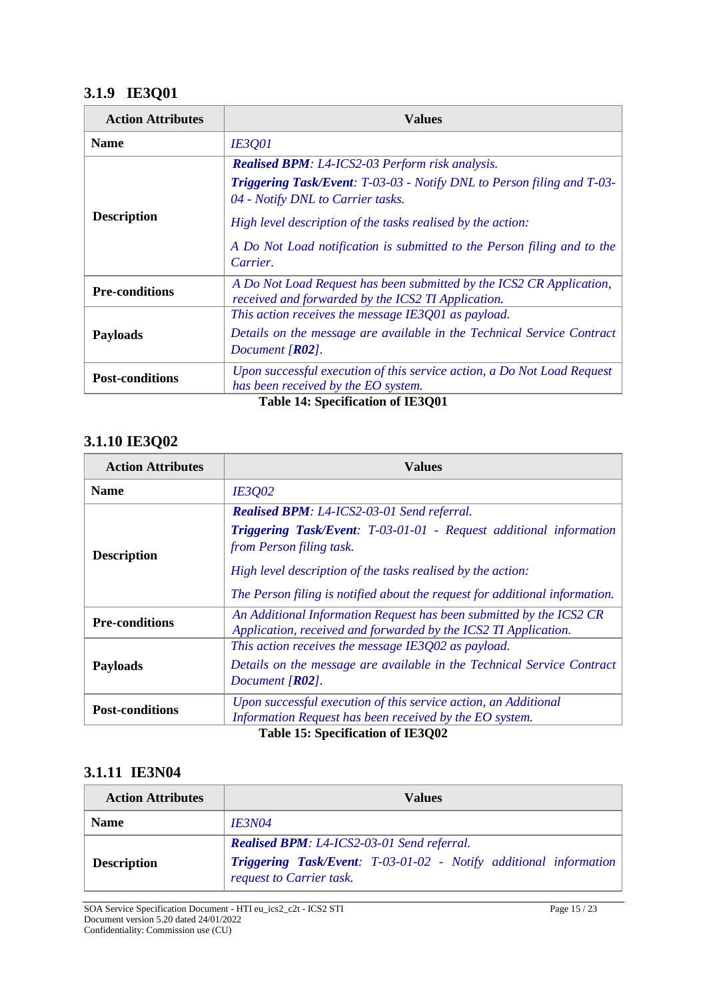## **3.1.9 IE3Q01**

| <b>Action Attributes</b> | Values                                                                                                                                                                                                                                                                                                                             |
|--------------------------|------------------------------------------------------------------------------------------------------------------------------------------------------------------------------------------------------------------------------------------------------------------------------------------------------------------------------------|
| <b>Name</b>              | <b>IE3Q01</b>                                                                                                                                                                                                                                                                                                                      |
| <b>Description</b>       | <b>Realised BPM:</b> L4-ICS2-03 Perform risk analysis.<br><b>Triggering Task/Event:</b> T-03-03 - Notify DNL to Person filing and T-03-<br>04 - Notify DNL to Carrier tasks.<br>High level description of the tasks realised by the action:<br>A Do Not Load notification is submitted to the Person filing and to the<br>Carrier. |
| <b>Pre-conditions</b>    | A Do Not Load Request has been submitted by the ICS2 CR Application,<br>received and forwarded by the ICS2 TI Application.                                                                                                                                                                                                         |
| <b>Payloads</b>          | This action receives the message IE3Q01 as payload.<br>Details on the message are available in the Technical Service Contract<br>Document $[R02]$ .                                                                                                                                                                                |
| <b>Post-conditions</b>   | Upon successful execution of this service action, a Do Not Load Request<br>has been received by the EO system.                                                                                                                                                                                                                     |

**Table 14: Specification of IE3Q01**

## **3.1.10 IE3Q02**

| <b>Action Attributes</b> | Values                                                                                                                                 |
|--------------------------|----------------------------------------------------------------------------------------------------------------------------------------|
| <b>Name</b>              | <b>IE3002</b>                                                                                                                          |
| <b>Description</b>       | <b>Realised BPM:</b> L4-ICS2-03-01 Send referral.                                                                                      |
|                          | <b>Triggering Task/Event:</b> T-03-01-01 - Request additional information<br>from Person filing task.                                  |
|                          | High level description of the tasks realised by the action:                                                                            |
|                          | The Person filing is notified about the request for additional information.                                                            |
| <b>Pre-conditions</b>    | An Additional Information Request has been submitted by the ICS2 CR<br>Application, received and forwarded by the ICS2 TI Application. |
|                          | This action receives the message IE3Q02 as payload.                                                                                    |
| <b>Payloads</b>          | Details on the message are available in the Technical Service Contract                                                                 |
|                          | Document $[R02]$ .                                                                                                                     |
| <b>Post-conditions</b>   | Upon successful execution of this service action, an Additional                                                                        |
|                          | Information Request has been received by the EO system.                                                                                |

### **3.1.11 IE3N04**

| <b>Action Attributes</b> | Values                                                                                                                                                    |
|--------------------------|-----------------------------------------------------------------------------------------------------------------------------------------------------------|
| <b>Name</b>              | <i><b>IE3N04</b></i>                                                                                                                                      |
| <b>Description</b>       | <b>Realised BPM:</b> L4-ICS2-03-01 Send referral.<br><b>Triggering Task/Event:</b> T-03-01-02 - Notify additional information<br>request to Carrier task. |

SOA Service Specification Document - HTI eu\_ics2\_c2t - ICS2 STI Page 15 / 23 Document version 5.20 dated 24/01/2022 Confidentiality: Commission use (CU)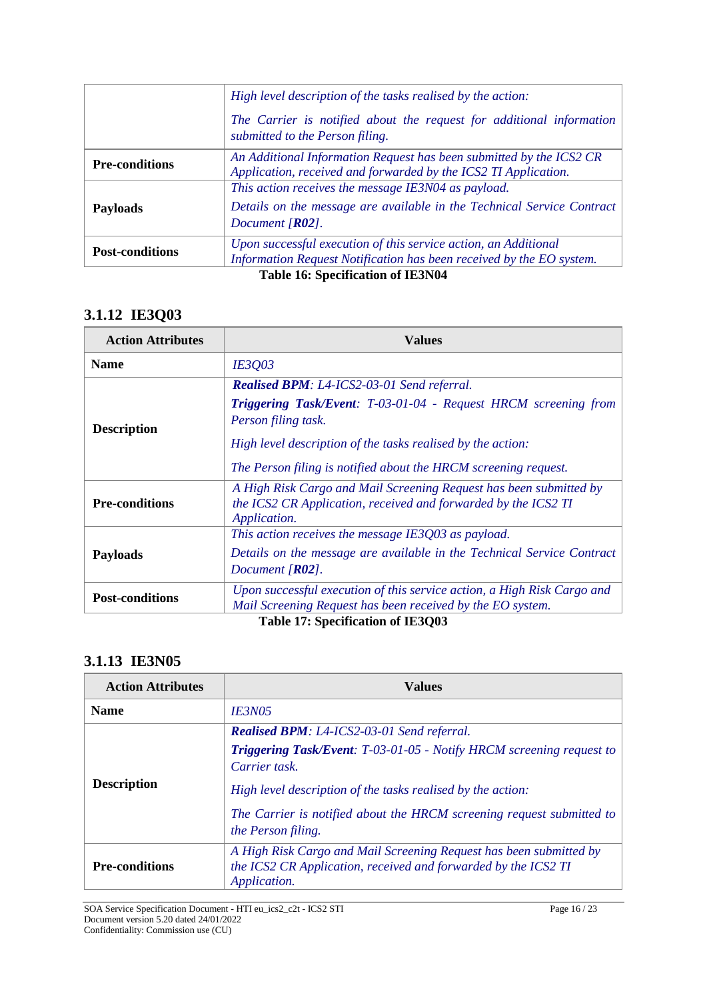|                                          | High level description of the tasks realised by the action:                                                                                         |
|------------------------------------------|-----------------------------------------------------------------------------------------------------------------------------------------------------|
|                                          | The Carrier is notified about the request for additional information<br>submitted to the Person filing.                                             |
| <b>Pre-conditions</b>                    | An Additional Information Request has been submitted by the ICS2 CR<br>Application, received and forwarded by the ICS2 TI Application.              |
| <b>Payloads</b>                          | This action receives the message IE3N04 as payload.<br>Details on the message are available in the Technical Service Contract<br>Document $[R02]$ . |
| <b>Post-conditions</b>                   | Upon successful execution of this service action, an Additional<br>Information Request Notification has been received by the EO system.             |
| <b>Table 16: Specification of IE3N04</b> |                                                                                                                                                     |

## **3.1.12 IE3Q03**

| <b>Action Attributes</b> | <b>Values</b>                                                                                                                                        |
|--------------------------|------------------------------------------------------------------------------------------------------------------------------------------------------|
| <b>Name</b>              | <b>IE3Q03</b>                                                                                                                                        |
| <b>Description</b>       | <b>Realised BPM:</b> L4-ICS2-03-01 Send referral.                                                                                                    |
|                          | Triggering Task/Event: T-03-01-04 - Request HRCM screening from<br>Person filing task.                                                               |
|                          | High level description of the tasks realised by the action:                                                                                          |
|                          | The Person filing is notified about the HRCM screening request.                                                                                      |
| <b>Pre-conditions</b>    | A High Risk Cargo and Mail Screening Request has been submitted by<br>the ICS2 CR Application, received and forwarded by the ICS2 TI<br>Application. |
| <b>Payloads</b>          | This action receives the message IE3Q03 as payload.                                                                                                  |
|                          | Details on the message are available in the Technical Service Contract<br>Document $[R02]$ .                                                         |
| <b>Post-conditions</b>   | Upon successful execution of this service action, a High Risk Cargo and<br>Mail Screening Request has been received by the EO system.                |
|                          | Table 17: Specification of IE3Q03                                                                                                                    |

### **3.1.13 IE3N05**

| <b>Action Attributes</b> | <b>Values</b>                                                                                                                                        |
|--------------------------|------------------------------------------------------------------------------------------------------------------------------------------------------|
| <b>Name</b>              | <i><b>IE3N05</b></i>                                                                                                                                 |
| <b>Description</b>       | <b>Realised BPM:</b> L4-ICS2-03-01 Send referral.                                                                                                    |
|                          | Triggering Task/Event: T-03-01-05 - Notify HRCM screening request to<br>Carrier task                                                                 |
|                          | High level description of the tasks realised by the action:                                                                                          |
|                          | The Carrier is notified about the HRCM screening request submitted to<br>the Person filing.                                                          |
| <b>Pre-conditions</b>    | A High Risk Cargo and Mail Screening Request has been submitted by<br>the ICS2 CR Application, received and forwarded by the ICS2 TI<br>Application. |

SOA Service Specification Document - HTI eu\_ics2\_c2t - ICS2 STI Page 16 / 23 Document version 5.20 dated 24/01/2022 Confidentiality: Commission use (CU)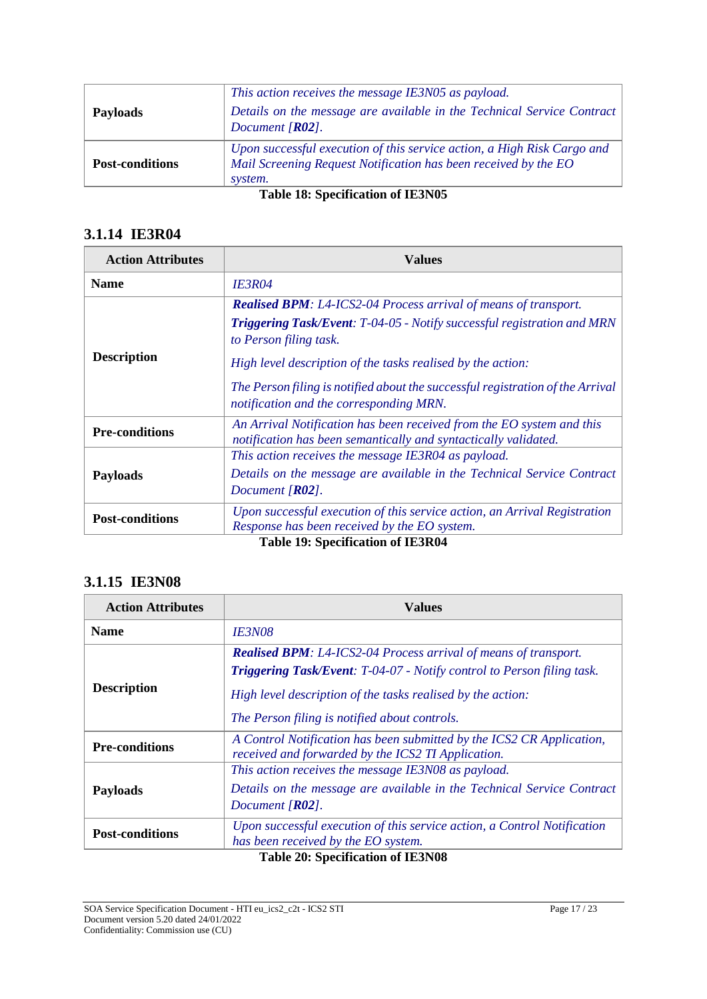| Document $[RO2]$ .<br>Upon successful execution of this service action, a High Risk Cargo and | Mail Screening Request Notification has been received by the EO |
|-----------------------------------------------------------------------------------------------|-----------------------------------------------------------------|
|                                                                                               |                                                                 |

#### **Table 18: Specification of IE3N05**

### **3.1.14 IE3R04**

| <b>Action Attributes</b> | Values                                                                                                                                                                                                                                                                                                                                                                         |
|--------------------------|--------------------------------------------------------------------------------------------------------------------------------------------------------------------------------------------------------------------------------------------------------------------------------------------------------------------------------------------------------------------------------|
| <b>Name</b>              | <b>IE3R04</b>                                                                                                                                                                                                                                                                                                                                                                  |
| <b>Description</b>       | <b>Realised BPM:</b> L4-ICS2-04 Process arrival of means of transport.<br><b>Triggering Task/Event:</b> T-04-05 - Notify successful registration and MRN<br>to Person filing task.<br>High level description of the tasks realised by the action:<br>The Person filing is notified about the successful registration of the Arrival<br>notification and the corresponding MRN. |
| <b>Pre-conditions</b>    | An Arrival Notification has been received from the EO system and this<br>notification has been semantically and syntactically validated.                                                                                                                                                                                                                                       |
| <b>Payloads</b>          | This action receives the message IE3R04 as payload.<br>Details on the message are available in the Technical Service Contract<br>Document $[R02]$ .                                                                                                                                                                                                                            |
| <b>Post-conditions</b>   | Upon successful execution of this service action, an Arrival Registration<br>Response has been received by the EO system.                                                                                                                                                                                                                                                      |

**Table 19: Specification of IE3R04**

### **3.1.15 IE3N08**

| <b>Action Attributes</b> | Values                                                                                                                      |
|--------------------------|-----------------------------------------------------------------------------------------------------------------------------|
| <b>Name</b>              | <i><b>IE3N08</b></i>                                                                                                        |
| <b>Description</b>       | <b>Realised BPM:</b> L4-ICS2-04 Process arrival of means of transport.                                                      |
|                          | <b>Triggering Task/Event:</b> T-04-07 - Notify control to Person filing task.                                               |
|                          | High level description of the tasks realised by the action:                                                                 |
|                          | The Person filing is notified about controls.                                                                               |
| <b>Pre-conditions</b>    | A Control Notification has been submitted by the ICS2 CR Application,<br>received and forwarded by the ICS2 TI Application. |
| <b>Payloads</b>          | This action receives the message IE3N08 as payload.                                                                         |
|                          | Details on the message are available in the Technical Service Contract                                                      |
|                          | Document $[R02]$ .                                                                                                          |
| <b>Post-conditions</b>   | Upon successful execution of this service action, a Control Notification                                                    |
|                          | has been received by the EO system.                                                                                         |

### **Table 20: Specification of IE3N08**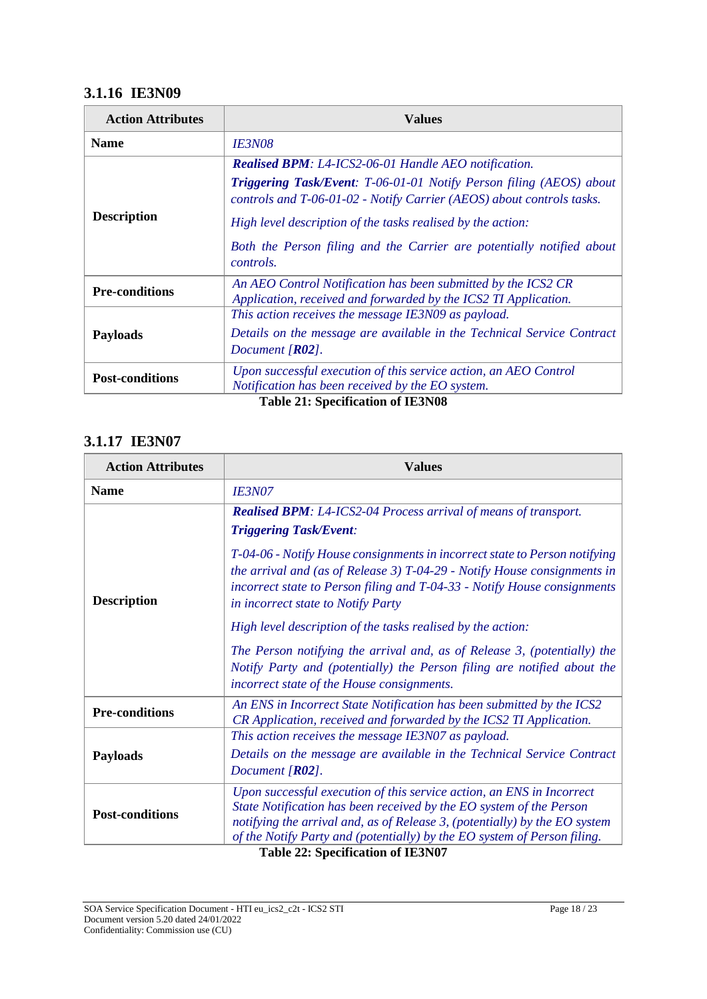## **3.1.16 IE3N09**

| <b>Action Attributes</b> | Values                                                                                                                                              |
|--------------------------|-----------------------------------------------------------------------------------------------------------------------------------------------------|
| <b>Name</b>              | <i><b>IE3N08</b></i>                                                                                                                                |
| <b>Description</b>       | Realised BPM: L4-ICS2-06-01 Handle AEO notification.                                                                                                |
|                          | <b>Triggering Task/Event:</b> T-06-01-01 Notify Person filing (AEOS) about<br>controls and T-06-01-02 - Notify Carrier (AEOS) about controls tasks. |
|                          | High level description of the tasks realised by the action:                                                                                         |
|                          | Both the Person filing and the Carrier are potentially notified about<br><i>controls.</i>                                                           |
| <b>Pre-conditions</b>    | An AEO Control Notification has been submitted by the ICS2 CR<br>Application, received and forwarded by the ICS2 TI Application.                    |
| <b>Payloads</b>          | This action receives the message IE3N09 as payload.                                                                                                 |
|                          | Details on the message are available in the Technical Service Contract<br>Document $[R02]$ .                                                        |
| <b>Post-conditions</b>   | Upon successful execution of this service action, an AEO Control<br>Notification has been received by the EO system.                                |
|                          | <b>Table 21: Specification of IE3N08</b>                                                                                                            |

## **3.1.17 IE3N07**

| <b>Action Attributes</b> | <b>Values</b>                                                                                                                                                                                                                                                              |  |  |
|--------------------------|----------------------------------------------------------------------------------------------------------------------------------------------------------------------------------------------------------------------------------------------------------------------------|--|--|
| <b>Name</b>              | <i><b>IE3N07</b></i>                                                                                                                                                                                                                                                       |  |  |
|                          | <b>Realised BPM:</b> L4-ICS2-04 Process arrival of means of transport.<br><b>Triggering Task/Event:</b>                                                                                                                                                                    |  |  |
| <b>Description</b>       | T-04-06 - Notify House consignments in incorrect state to Person notifying<br>the arrival and (as of Release 3) $T-04-29$ - Notify House consignments in<br>incorrect state to Person filing and T-04-33 - Notify House consignments<br>in incorrect state to Notify Party |  |  |
|                          | High level description of the tasks realised by the action:                                                                                                                                                                                                                |  |  |
|                          | The Person notifying the arrival and, as of Release 3, (potentially) the<br>Notify Party and (potentially) the Person filing are notified about the<br>incorrect state of the House consignments.                                                                          |  |  |
| <b>Pre-conditions</b>    | An ENS in Incorrect State Notification has been submitted by the ICS2<br>CR Application, received and forwarded by the ICS2 TI Application.                                                                                                                                |  |  |
|                          | This action receives the message IE3N07 as payload.                                                                                                                                                                                                                        |  |  |
| <b>Payloads</b>          | Details on the message are available in the Technical Service Contract<br>Document $[R02]$ .                                                                                                                                                                               |  |  |
| <b>Post-conditions</b>   | Upon successful execution of this service action, an ENS in Incorrect<br>State Notification has been received by the EO system of the Person<br>notifying the arrival and, as of Release 3, (potentially) by the EO system                                                 |  |  |
|                          | of the Notify Party and (potentially) by the EO system of Person filing.<br>Table 22: Specification of IE2N07                                                                                                                                                              |  |  |

**Table 22: Specification of IE3N07**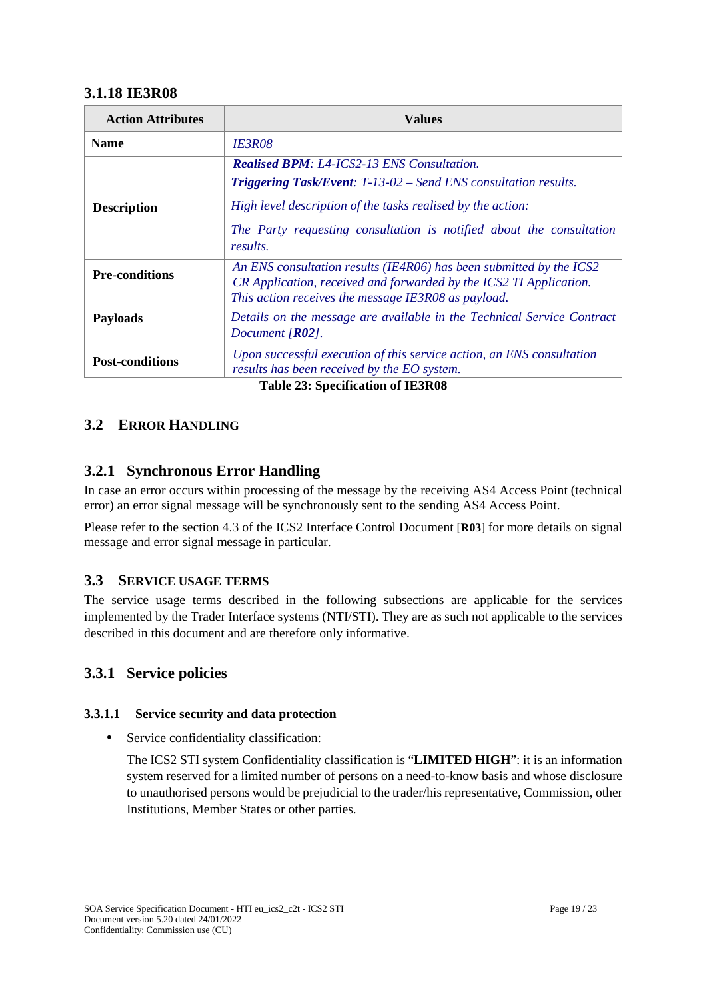#### **3.1.18 IE3R08**

| <b>Values</b>                                                                                                                             |
|-------------------------------------------------------------------------------------------------------------------------------------------|
| <i><b>IE3R08</b></i>                                                                                                                      |
| <b>Realised BPM: L4-ICS2-13 ENS Consultation.</b>                                                                                         |
| <b>Triggering Task/Event:</b> T-13-02 – Send ENS consultation results.                                                                    |
| High level description of the tasks realised by the action:                                                                               |
| The Party requesting consultation is notified about the consultation<br>results.                                                          |
| An ENS consultation results (IE4R06) has been submitted by the ICS2<br>CR Application, received and forwarded by the ICS2 TI Application. |
| This action receives the message IE3R08 as payload.                                                                                       |
| Details on the message are available in the Technical Service Contract<br>Document $[R02]$ .                                              |
| Upon successful execution of this service action, an ENS consultation<br>results has been received by the EO system.                      |
|                                                                                                                                           |

### **3.2 ERROR HANDLING**

### **3.2.1 Synchronous Error Handling**

In case an error occurs within processing of the message by the receiving AS4 Access Point (technical error) an error signal message will be synchronously sent to the sending AS4 Access Point.

Please refer to the section 4.3 of the ICS2 Interface Control Document [**R03**] for more details on signal message and error signal message in particular.

#### **3.3 SERVICE USAGE TERMS**

The service usage terms described in the following subsections are applicable for the services implemented by the Trader Interface systems (NTI/STI). They are as such not applicable to the services described in this document and are therefore only informative.

### **3.3.1 Service policies**

#### **3.3.1.1 Service security and data protection**

• Service confidentiality classification:

The ICS2 STI system Confidentiality classification is "**LIMITED HIGH**": it is an information system reserved for a limited number of persons on a need-to-know basis and whose disclosure to unauthorised persons would be prejudicial to the trader/his representative, Commission, other Institutions, Member States or other parties.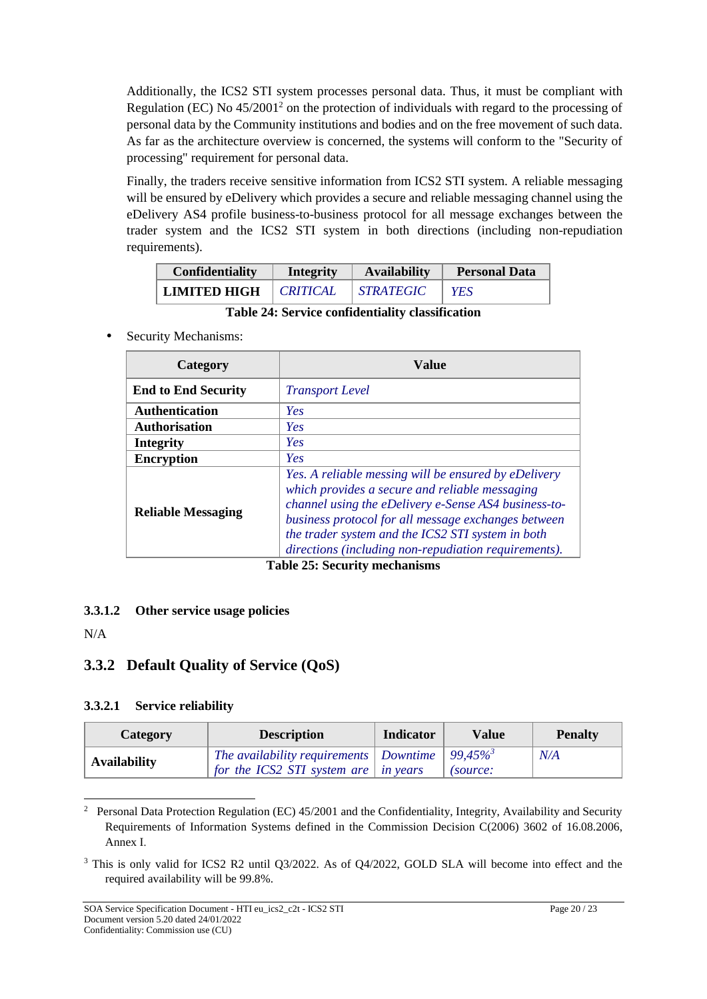Additionally, the ICS2 STI system processes personal data. Thus, it must be compliant with Regulation (EC) No  $45/2001^2$  on the protection of individuals with regard to the processing of personal data by the Community institutions and bodies and on the free movement of such data. As far as the architecture overview is concerned, the systems will conform to the "Security of processing" requirement for personal data.

Finally, the traders receive sensitive information from ICS2 STI system. A reliable messaging will be ensured by eDelivery which provides a secure and reliable messaging channel using the eDelivery AS4 profile business-to-business protocol for all message exchanges between the trader system and the ICS2 STI system in both directions (including non-repudiation requirements).

| <b>Confidentiality</b> | Integrity              | <b>Availability</b> | <b>Personal Data</b> |  |
|------------------------|------------------------|---------------------|----------------------|--|
| LIMITED HIGH           | <i><b>CRITICAL</b></i> | <b>STRATEGIC</b>    | YES                  |  |

**Table 24: Service confidentiality classification**

Security Mechanisms:

| Category                   | Value                                                                                                                                                                                                                                                                                                                              |  |  |
|----------------------------|------------------------------------------------------------------------------------------------------------------------------------------------------------------------------------------------------------------------------------------------------------------------------------------------------------------------------------|--|--|
| <b>End to End Security</b> | <i>Transport Level</i>                                                                                                                                                                                                                                                                                                             |  |  |
| <b>Authentication</b>      | Yes                                                                                                                                                                                                                                                                                                                                |  |  |
| <b>Authorisation</b>       | Yes                                                                                                                                                                                                                                                                                                                                |  |  |
| <b>Integrity</b>           | Yes                                                                                                                                                                                                                                                                                                                                |  |  |
| <b>Encryption</b>          | Yes                                                                                                                                                                                                                                                                                                                                |  |  |
| <b>Reliable Messaging</b>  | Yes. A reliable messing will be ensured by eDelivery<br>which provides a secure and reliable messaging<br>channel using the eDelivery e-Sense AS4 business-to-<br>business protocol for all message exchanges between<br>the trader system and the ICS2 STI system in both<br>directions (including non-repudiation requirements). |  |  |

**Table 25: Security mechanisms**

#### **3.3.1.2 Other service usage policies**

N/A

### **3.3.2 Default Quality of Service (QoS)**

#### **3.3.2.1 Service reliability**

| Category            | <b>Description</b>                                             | <b>Indicator</b> | <b>Value</b> | <b>Penalty</b> |
|---------------------|----------------------------------------------------------------|------------------|--------------|----------------|
| <b>Availability</b> | The availability requirements   Downtime   99,45% <sup>3</sup> |                  |              | N/A            |
|                     | for the ICS2 STI system are $\int$ in years                    |                  | (source:     |                |

<sup>2</sup> Personal Data Protection Regulation (EC) 45/2001 and the Confidentiality, Integrity, Availability and Security Requirements of Information Systems defined in the Commission Decision C(2006) 3602 of 16.08.2006, Annex I.

<sup>&</sup>lt;sup>3</sup> This is only valid for ICS2 R2 until Q3/2022. As of Q4/2022, GOLD SLA will become into effect and the required availability will be 99.8%.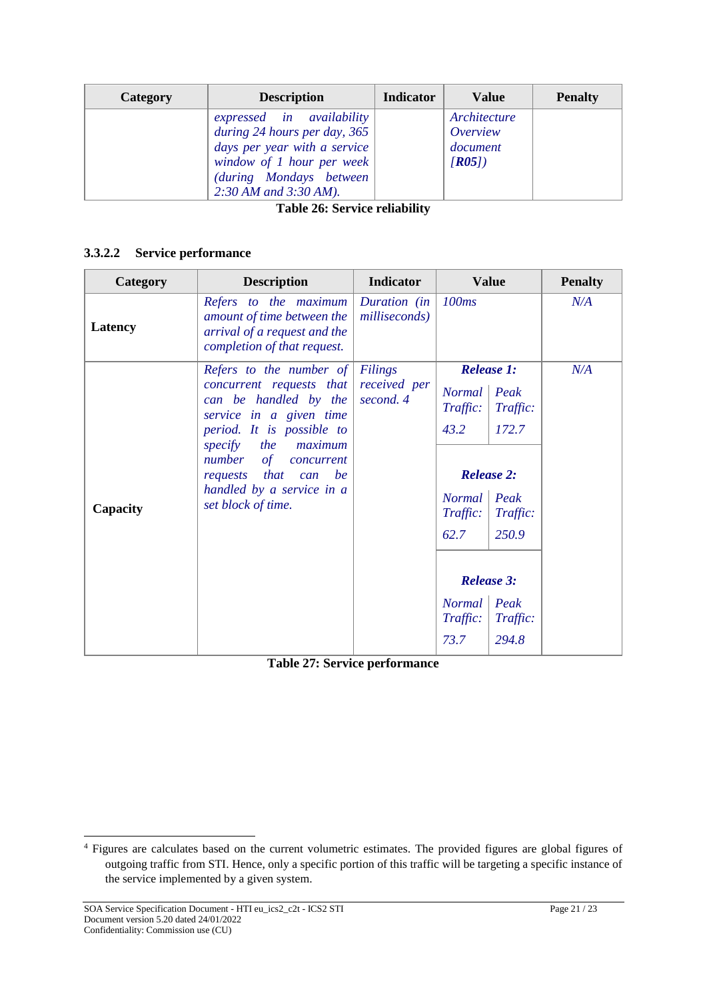| Category | <b>Description</b>                                                                                                                                                             | <b>Indicator</b> | <b>Value</b>                                  | <b>Penalty</b> |
|----------|--------------------------------------------------------------------------------------------------------------------------------------------------------------------------------|------------------|-----------------------------------------------|----------------|
|          | expressed in availability<br>during 24 hours per day, 365<br>days per year with a service<br>window of 1 hour per week<br>(during Mondays between<br>$2:30$ AM and $3:30$ AM). |                  | Architecture<br>Overview<br>document<br>[RO5] |                |

**Table 26: Service reliability**

#### **3.3.2.2 Service performance**

| Category | <b>Description</b>                                                                                                                                                                                                                                                                   | <b>Indicator</b>                            |                                                                                                                                                                         | <b>Value</b>              | <b>Penalty</b> |
|----------|--------------------------------------------------------------------------------------------------------------------------------------------------------------------------------------------------------------------------------------------------------------------------------------|---------------------------------------------|-------------------------------------------------------------------------------------------------------------------------------------------------------------------------|---------------------------|----------------|
| Latency  | Refers to the maximum<br>amount of time between the<br>arrival of a request and the<br>completion of that request.                                                                                                                                                                   | Duration (in<br>milliseconds)               | 100ms                                                                                                                                                                   |                           | N/A            |
| Capacity | Refers to the number of<br>concurrent requests that<br>can be handled by the<br>service in a given time<br>period. It is possible to<br>specify<br><i>the</i><br>maximum<br>number of concurrent<br>that<br>be<br>requests<br>can<br>handled by a service in a<br>set block of time. | <b>Filings</b><br>received per<br>second. 4 | <b>Release 1:</b><br><b>Normal</b><br>Peak<br>Traffic:<br>Traffic:<br>43.2<br>172.7<br><b>Release 2:</b><br>Normal   Peak<br>$T^{raffic:}$<br>Traffic:<br>62.7<br>250.9 |                           | N/A            |
|          |                                                                                                                                                                                                                                                                                      | Normal                                      |                                                                                                                                                                         | <b>Release 3:</b><br>Peak |                |
|          |                                                                                                                                                                                                                                                                                      |                                             | Traffic:<br>73.7                                                                                                                                                        | Traffic:<br>294.8         |                |

**Table 27: Service performance**

<sup>4</sup> Figures are calculates based on the current volumetric estimates. The provided figures are global figures of outgoing traffic from STI. Hence, only a specific portion of this traffic will be targeting a specific instance of the service implemented by a given system.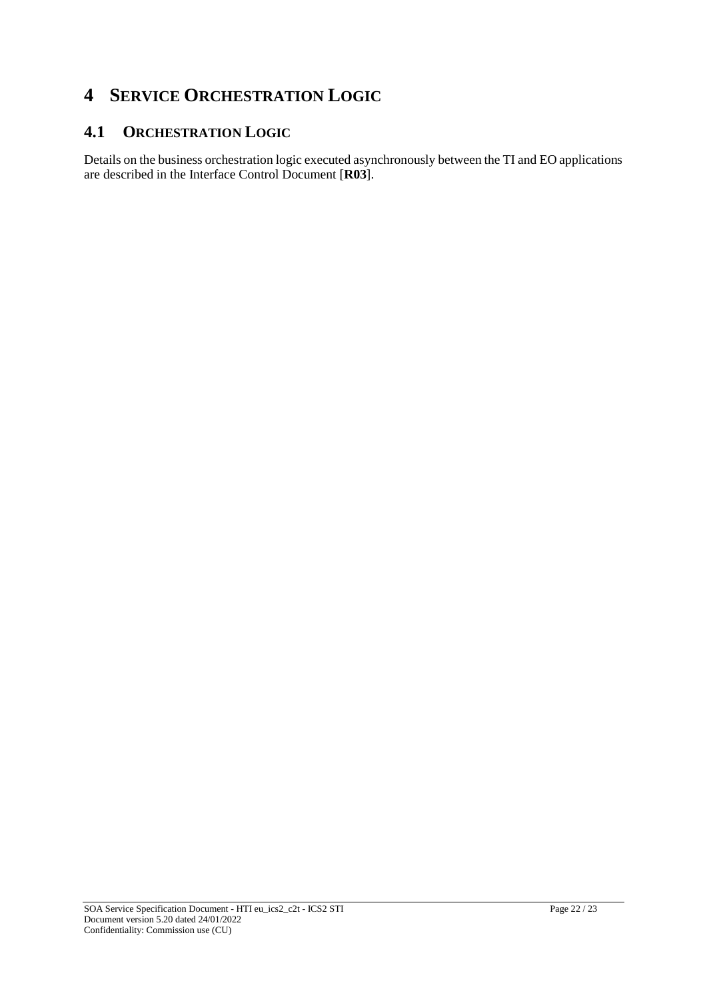## **4 SERVICE ORCHESTRATION LOGIC**

## **4.1 ORCHESTRATION LOGIC**

Details on the business orchestration logic executed asynchronously between the TI and EO applications are described in the Interface Control Document [**R03**].